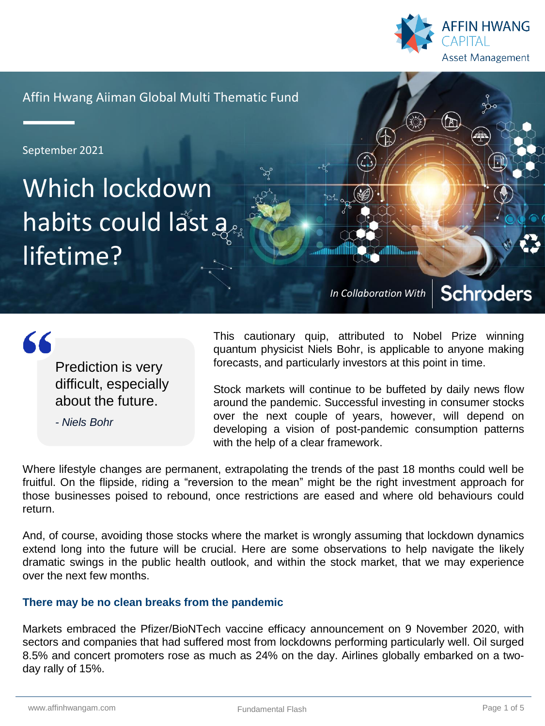

Affin Hwang Aiiman Global Multi Thematic Fund

September 2021

Which lockdown habits could last a lifetime?

> **Schroders** *In Collaboration With*

 $66$ 

Prediction is very difficult, especially about the future.

*- Niels Bohr*

This cautionary quip, attributed to Nobel Prize winning quantum physicist Niels Bohr, is applicable to anyone making forecasts, and particularly investors at this point in time.

Stock markets will continue to be buffeted by daily news flow around the pandemic. Successful investing in consumer stocks over the next couple of years, however, will depend on developing a vision of post-pandemic consumption patterns with the help of a clear framework.

Where lifestyle changes are permanent, extrapolating the trends of the past 18 months could well be fruitful. On the flipside, riding a "reversion to the mean" might be the right investment approach for those businesses poised to rebound, once restrictions are eased and where old behaviours could return.

And, of course, avoiding those stocks where the market is wrongly assuming that lockdown dynamics extend long into the future will be crucial. Here are some observations to help navigate the likely dramatic swings in the public health outlook, and within the stock market, that we may experience over the next few months.

# **There may be no clean breaks from the pandemic**

Markets embraced the Pfizer/BioNTech vaccine efficacy announcement on 9 November 2020, with sectors and companies that had suffered most from lockdowns performing particularly well. Oil surged 8.5% and concert promoters rose as much as 24% on the day. Airlines globally embarked on a twoday rally of 15%.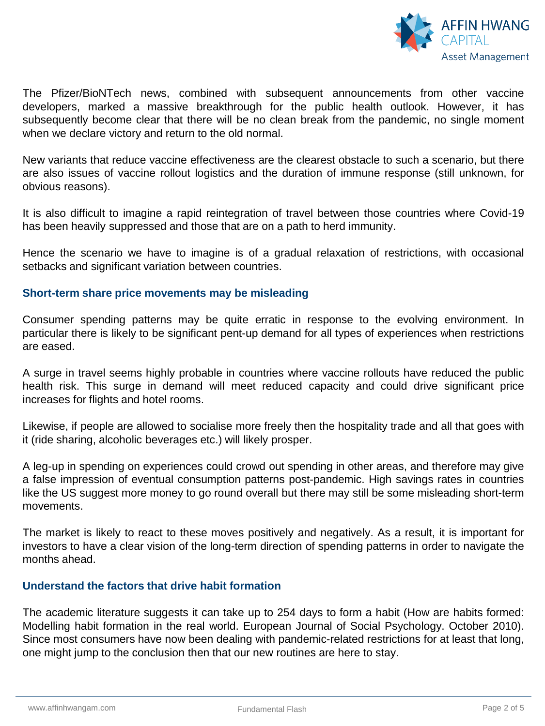

The Pfizer/BioNTech news, combined with subsequent announcements from other vaccine developers, marked a massive breakthrough for the public health outlook. However, it has subsequently become clear that there will be no clean break from the pandemic, no single moment when we declare victory and return to the old normal.

New variants that reduce vaccine effectiveness are the clearest obstacle to such a scenario, but there are also issues of vaccine rollout logistics and the duration of immune response (still unknown, for obvious reasons).

It is also difficult to imagine a rapid reintegration of travel between those countries where Covid-19 has been heavily suppressed and those that are on a path to herd immunity.

Hence the scenario we have to imagine is of a gradual relaxation of restrictions, with occasional setbacks and significant variation between countries.

### **Short-term share price movements may be misleading**

Consumer spending patterns may be quite erratic in response to the evolving environment. In particular there is likely to be significant pent-up demand for all types of experiences when restrictions are eased.

A surge in travel seems highly probable in countries where vaccine rollouts have reduced the public health risk. This surge in demand will meet reduced capacity and could drive significant price increases for flights and hotel rooms.

Likewise, if people are allowed to socialise more freely then the hospitality trade and all that goes with it (ride sharing, alcoholic beverages etc.) will likely prosper.

A leg-up in spending on experiences could crowd out spending in other areas, and therefore may give a false impression of eventual consumption patterns post-pandemic. High savings rates in countries like the US suggest more money to go round overall but there may still be some misleading short-term movements.

The market is likely to react to these moves positively and negatively. As a result, it is important for investors to have a clear vision of the long-term direction of spending patterns in order to navigate the months ahead.

# **Understand the factors that drive habit formation**

The academic literature suggests it can take up to 254 days to form a habit (How are habits formed: Modelling habit formation in the real world. European Journal of Social Psychology. October 2010). Since most consumers have now been dealing with pandemic-related restrictions for at least that long, one might jump to the conclusion then that our new routines are here to stay.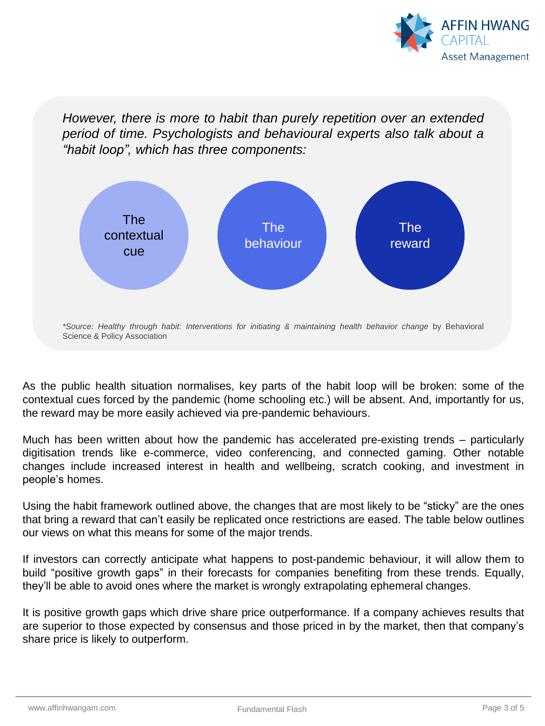

*However, there is more to habit than purely repetition over an extended period of time. Psychologists and behavioural experts also talk about a "habit loop", which has three components:*



As the public health situation normalises, key parts of the habit loop will be broken: some of the contextual cues forced by the pandemic (home schooling etc.) will be absent. And, importantly for us, the reward may be more easily achieved via pre-pandemic behaviours.

Much has been written about how the pandemic has accelerated pre-existing trends – particularly digitisation trends like e-commerce, video conferencing, and connected gaming. Other notable changes include increased interest in health and wellbeing, scratch cooking, and investment in people's homes.

Using the habit framework outlined above, the changes that are most likely to be "sticky" are the ones that bring a reward that can't easily be replicated once restrictions are eased. The table below outlines our views on what this means for some of the major trends.

If investors can correctly anticipate what happens to post-pandemic behaviour, it will allow them to build "positive growth gaps" in their forecasts for companies benefiting from these trends. Equally, they'll be able to avoid ones where the market is wrongly extrapolating ephemeral changes.

It is positive growth gaps which drive share price outperformance. If a company achieves results that are superior to those expected by consensus and those priced in by the market, then that company's share price is likely to outperform.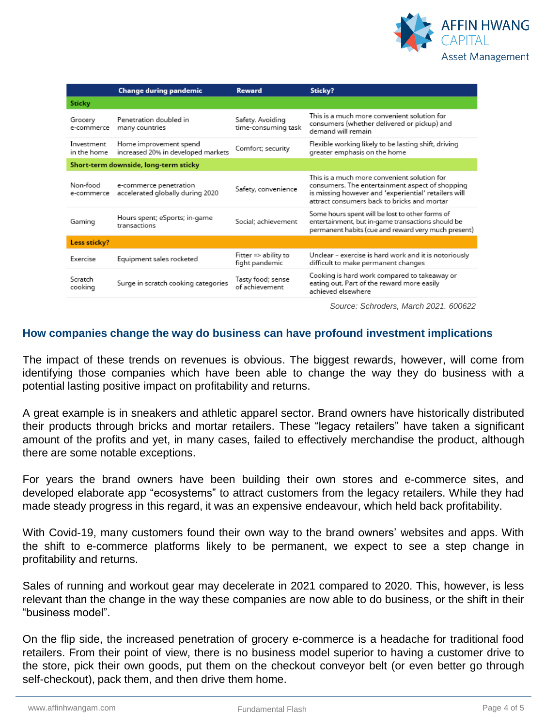

|                                       | <b>Change during pandemic</b>                                | <b>Reward</b>                                     | Sticky?                                                                                                                                                                                               |
|---------------------------------------|--------------------------------------------------------------|---------------------------------------------------|-------------------------------------------------------------------------------------------------------------------------------------------------------------------------------------------------------|
| Sticky                                |                                                              |                                                   |                                                                                                                                                                                                       |
| Grocery<br>e-commerce                 | Penetration doubled in<br>many countries                     | Safety. Avoiding<br>time-consuming task           | This is a much more convenient solution for<br>consumers (whether delivered or pickup) and<br>demand will remain.                                                                                     |
| Investment<br>in the home             | Home improvement spend<br>increased 20% in developed markets | Comfort; security                                 | Flexible working likely to be lasting shift, driving<br>greater emphasis on the home                                                                                                                  |
| Short-term downside, long-term sticky |                                                              |                                                   |                                                                                                                                                                                                       |
| Non-food<br>e-commerce                | e-commerce penetration<br>accelerated globally during 2020   | Safety, convenience                               | This is a much more convenient solution for<br>consumers. The entertainment aspect of shopping<br>is missing however and 'experiential' retailers will<br>attract consumers back to bricks and mortar |
| Gaming                                | Hours spent; eSports; in-game<br>transactions                | Social; achievement                               | Some hours spent will be lost to other forms of<br>entertainment, but in-game transactions should be<br>permanent habits (cue and reward very much present)                                           |
| Less sticky?                          |                                                              |                                                   |                                                                                                                                                                                                       |
| Exercise                              | Equipment sales rocketed                                     | Fitter $\Rightarrow$ ability to<br>fight pandemic | Unclear - exercise is hard work and it is notoriously<br>difficult to make permanent changes                                                                                                          |
| Scratch<br>cooking                    | Surge in scratch cooking categories                          | Tasty food; sense<br>of achievement.              | Cooking is hard work compared to takeaway or<br>eating out. Part of the reward more easily<br>achieved elsewhere                                                                                      |
|                                       |                                                              |                                                   |                                                                                                                                                                                                       |

*Source: Schroders, March 2021. 600622*

## **How companies change the way do business can have profound investment implications**

The impact of these trends on revenues is obvious. The biggest rewards, however, will come from identifying those companies which have been able to change the way they do business with a potential lasting positive impact on profitability and returns.

A great example is in sneakers and athletic apparel sector. Brand owners have historically distributed their products through bricks and mortar retailers. These "legacy retailers" have taken a significant amount of the profits and yet, in many cases, failed to effectively merchandise the product, although there are some notable exceptions.

For years the brand owners have been building their own stores and e-commerce sites, and developed elaborate app "ecosystems" to attract customers from the legacy retailers. While they had made steady progress in this regard, it was an expensive endeavour, which held back profitability.

With Covid-19, many customers found their own way to the brand owners' websites and apps. With the shift to e-commerce platforms likely to be permanent, we expect to see a step change in profitability and returns.

Sales of running and workout gear may decelerate in 2021 compared to 2020. This, however, is less relevant than the change in the way these companies are now able to do business, or the shift in their "business model".

On the flip side, the increased penetration of grocery e-commerce is a headache for traditional food retailers. From their point of view, there is no business model superior to having a customer drive to the store, pick their own goods, put them on the checkout conveyor belt (or even better go through self-checkout), pack them, and then drive them home.